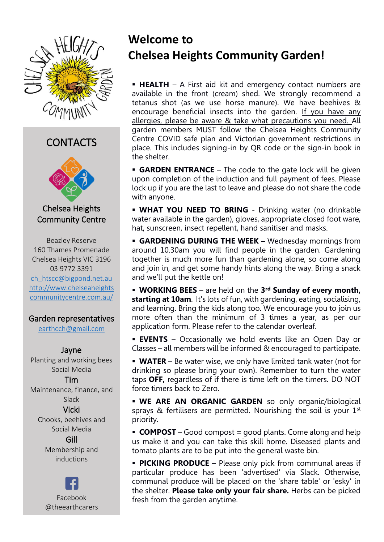

### CONTACTS



Chelsea Heights Community Centre

Beazley Reserve 160 Thames Promenade Chelsea Heights VIC 3196 03 9772 3391 [ch\\_htscc@bigpond.net.au](mailto:ch_htscc@bigpond.net.au) [http://www.chelseaheights](http://www.chelseaheightscommunitycentre.com.au/) [communitycentre.com.au/](http://www.chelseaheightscommunitycentre.com.au/)

#### Garden representatives

[earthcch@gmail.com](mailto:earthcch@gmail.com)

#### Jayne

Planting and working bees Social Media

Tim Maintenance, finance, and Slack

Vicki Chooks, beehives and Social Media

#### Gill Membership and inductions

Facebook @theearthcarers

# **Welcome to Chelsea Heights Community Garden!**

**• HEALTH** – A First aid kit and emergency contact numbers are available in the front (cream) shed. We strongly recommend a tetanus shot (as we use horse manure). We have beehives & encourage beneficial insects into the garden. If you have any allergies, please be aware & take what precautions you need. All garden members MUST follow the Chelsea Heights Community Centre COVID safe plan and Victorian government restrictions in place. This includes signing-in by QR code or the sign-in book in the shelter.

**GARDEN ENTRANCE** – The code to the gate lock will be given upon completion of the induction and full payment of fees. Please lock up if you are the last to leave and please do not share the code with anyone.

**E** WHAT YOU NEED TO BRING - Drinking water (no drinkable water available in the garden), gloves, appropriate closed foot ware, hat, sunscreen, insect repellent, hand sanitiser and masks.

**EXAGENING DURING THE WEEK -** Wednesday mornings from around 10.30am you will find people in the garden. Gardening together is much more fun than gardening alone, so come along and join in, and get some handy hints along the way. Bring a snack and we'll put the kettle on!

**EXECUTE:** WORKING BEES – are held on the 3<sup>rd</sup> Sunday of every month, **starting at 10am**. It's lots of fun, with gardening, eating, socialising, and learning. Bring the kids along too. We encourage you to join us more often than the minimum of 3 times a year, as per our application form. Please refer to the calendar overleaf.

**EVENTS** – Occasionally we hold events like an Open Day or Classes – all members will be informed & encouraged to participate.

**• WATER** – Be water wise, we only have limited tank water (not for drinking so please bring your own). Remember to turn the water taps **OFF,** regardless of if there is time left on the timers. DO NOT force timers back to Zero.

**· WE ARE AN ORGANIC GARDEN** so only organic/biological sprays & fertilisers are permitted. Nourishing the soil is your  $1<sup>st</sup>$ priority.

**COMPOST** – Good compost = good plants. Come along and help us make it and you can take this skill home. Diseased plants and tomato plants are to be put into the general waste bin.

**• PICKING PRODUCE -** Please only pick from communal areas if particular produce has been 'advertised' via Slack. Otherwise, communal produce will be placed on the 'share table' or 'esky' in the shelter. **Please take only your fair share.** Herbs can be picked fresh from the garden anytime.